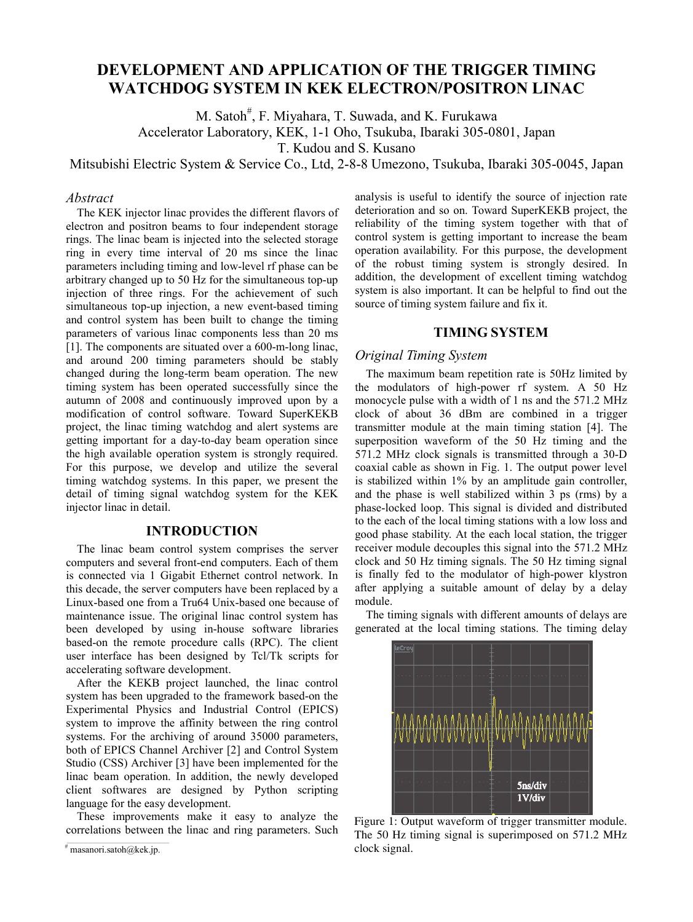# **DEVELOPMENT AND APPLICATION OF THE TRIGGER TIMING WATCHDOG SYSTEM IN KEK ELECTRON/POSITRON LINAC**

M. Satoh<sup>#</sup>, F. Miyahara, T. Suwada, and K. Furukawa

Accelerator Laboratory, KEK, 1-1 Oho, Tsukuba, Ibaraki 305-0801, Japan

T. Kudou and S. Kusano

Mitsubishi Electric System & Service Co., Ltd, 2-8-8 Umezono, Tsukuba, Ibaraki 305-0045, Japan

### *Abstract*

The KEK injector linac provides the different flavors of electron and positron beams to four independent storage rings. The linac beam is injected into the selected storage ring in every time interval of 20 ms since the linac parameters including timing and low-level rf phase can be arbitrary changed up to 50 Hz for the simultaneous top-up injection of three rings. For the achievement of such simultaneous top-up injection, a new event-based timing and control system has been built to change the timing parameters of various linac components less than 20 ms [1]. The components are situated over a 600-m-long linac, and around 200 timing parameters should be stably changed during the long-term beam operation. The new timing system has been operated successfully since the autumn of 2008 and continuously improved upon by a modification of control software. Toward SuperKEKB project, the linac timing watchdog and alert systems are getting important for a day-to-day beam operation since the high available operation system is strongly required. For this purpose, we develop and utilize the several timing watchdog systems. In this paper, we present the detail of timing signal watchdog system for the KEK injector linac in detail.

### **INTRODUCTION**

The linac beam control system comprises the server computers and several front-end computers. Each of them is connected via 1 Gigabit Ethernet control network. In this decade, the server computers have been replaced by a Linux-based one from a Tru64 Unix-based one because of maintenance issue. The original linac control system has been developed by using in-house software libraries based-on the remote procedure calls (RPC). The client user interface has been designed by Tcl/Tk scripts for accelerating software development.

After the KEKB project launched, the linac control system has been upgraded to the framework based-on the Experimental Physics and Industrial Control (EPICS) system to improve the affinity between the ring control systems. For the archiving of around 35000 parameters, both of EPICS Channel Archiver [2] and Control System Studio (CSS) Archiver [3] have been implemented for the linac beam operation. In addition, the newly developed client softwares are designed by Python scripting language for the easy development.

These improvements make it easy to analyze the correlations between the linac and ring parameters. Such analysis is useful to identify the source of injection rate deterioration and so on. Toward SuperKEKB project, the reliability of the timing system together with that of control system is getting important to increase the beam operation availability. For this purpose, the development of the robust timing system is strongly desired. In addition, the development of excellent timing watchdog system is also important. It can be helpful to find out the source of timing system failure and fix it.

## **TIMING SYSTEM**

# *Original Timing System*

The maximum beam repetition rate is 50Hz limited by the modulators of high-power rf system. A 50 Hz monocycle pulse with a width of 1 ns and the 571.2 MHz clock of about 36 dBm are combined in a trigger transmitter module at the main timing station [4]. The superposition waveform of the 50 Hz timing and the 571.2 MHz clock signals is transmitted through a 30-D coaxial cable as shown in Fig. 1. The output power level is stabilized within 1% by an amplitude gain controller, and the phase is well stabilized within 3 ps (rms) by a phase-locked loop. This signal is divided and distributed to the each of the local timing stations with a low loss and good phase stability. At the each local station, the trigger receiver module decouples this signal into the 571.2 MHz clock and 50 Hz timing signals. The 50 Hz timing signal is finally fed to the modulator of high-power klystron after applying a suitable amount of delay by a delay module.

The timing signals with different amounts of delays are generated at the local timing stations. The timing delay



Figure 1: Output waveform of trigger transmitter module. The 50 Hz timing signal is superimposed on 571.2 MHz clock signal.

 $*$  masanori.satoh@kek.jp.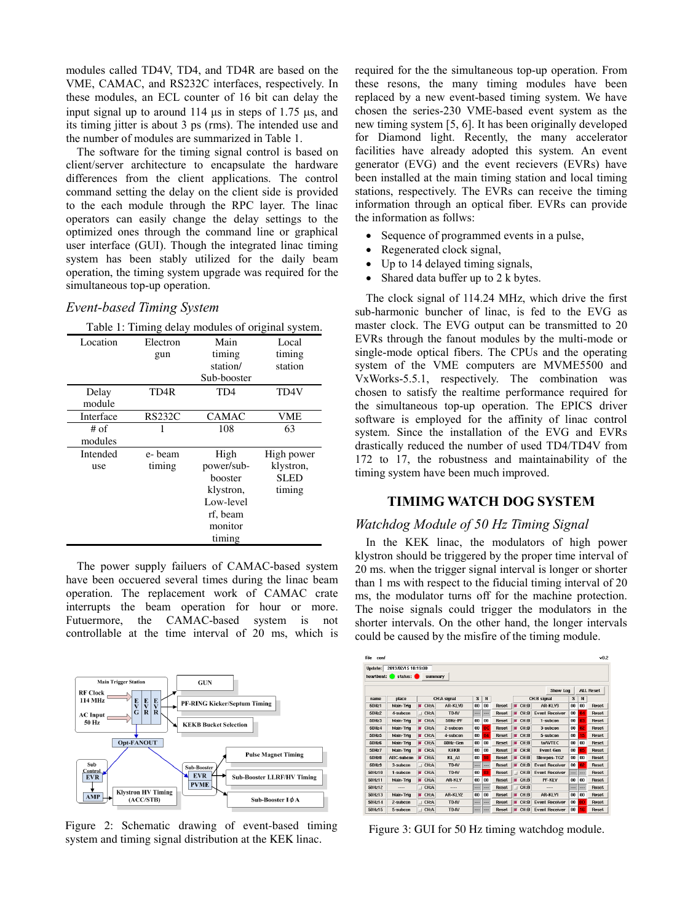modules called TD4V, TD4, and TD4R are based on the VME, CAMAC, and RS232C interfaces, respectively. In these modules, an ECL counter of 16 bit can delay the input signal up to around  $114$  us in steps of 1.75 us, and its timing jitter is about 3 ps (rms). The intended use and the number of modules are summarized in Table 1.

The software for the timing signal control is based on client/server architecture to encapsulate the hardware differences from the client applications. The control command setting the delay on the client side is provided to the each module through the RPC layer. The linac operators can easily change the delay settings to the optimized ones through the command line or graphical user interface (GUI). Though the integrated linac timing system has been stably utilized for the daily beam operation, the timing system upgrade was required for the simultaneous top-up operation.

#### *Event-based Timing System*

 $T$  to the  $T$  of original system. The  $T$  of original system of original system  $T$  or  $T$  or  $T$  or  $T$  or  $T$  or  $T$  or  $T$  or  $T$  or  $T$  or  $T$  or  $T$  or  $T$  or  $T$  or  $T$  or  $T$  or  $T$  or  $T$  or  $T$  or  $T$  or  $T$  or

|           | Table 1: Timing delay modules of original system. |              |             |
|-----------|---------------------------------------------------|--------------|-------------|
| Location  | Electron                                          | Main         | Local       |
|           | gun                                               | timing       | timing      |
|           |                                                   | station/     | station     |
|           |                                                   | Sub-booster  |             |
| Delay     | TD4R                                              | TD4          | TD4V        |
| module    |                                                   |              |             |
| Interface | <b>RS232C</b>                                     | <b>CAMAC</b> | VME         |
| # of      |                                                   | 108          | 63          |
| modules   |                                                   |              |             |
| Intended  | e-beam                                            | High         | High power  |
| use       | timing                                            | power/sub-   | klystron,   |
|           |                                                   | booster      | <b>SLED</b> |
|           |                                                   | klystron,    | timing      |
|           |                                                   | Low-level    |             |
|           |                                                   | rf, beam     |             |
|           |                                                   | monitor      |             |
|           |                                                   | timing       |             |

The power supply failuers of CAMAC-based system have been occuered several times during the linac beam operation. The replacement work of CAMAC crate interrupts the beam operation for hour or more. Futuermore, the CAMAC-based system is not controllable at the time interval of 20 ms, which is



Figure 2: Schematic drawing of event-based timing Figure 2: Schematic drawing of event-based timing<br>system and timing signal distribution at the KEK linac.<br>Figure 3: GUI for 50 Hz timing watchdog module.

required for the the simultaneous top-up operation. From these resons, the many timing modules have been replaced by a new event-based timing system. We have chosen the series-230 VME-based event system as the new timing system [5, 6]. It has been originally developed for Diamond light. Recently, the many accelerator facilities have already adopted this system. An event generator (EVG) and the event recievers (EVRs) have been installed at the main timing station and local timing stations, respectively. The EVRs can receive the timing information through an optical fiber. EVRs can provide the information as follws:

- Sequence of programmed events in a pulse,
- Regenerated clock signal,
- Up to 14 delayed timing signals,
- Shared data buffer up to 2 k bytes.

The clock signal of 114.24 MHz, which drive the first sub-harmonic buncher of linac, is fed to the EVG as master clock. The EVG output can be transmitted to 20 EVRs through the fanout modules by the multi-mode or single-mode optical fibers. The CPUs and the operating system of the VME computers are MVME5500 and VxWorks-5.5.1, respectively. The combination was chosen to satisfy the realtime performance required for the simultaneous top-up operation. The EPICS driver software is employed for the affinity of linac control system. Since the installation of the EVG and EVRs drastically reduced the number of used TD4/TD4V from 172 to 17, the robustness and maintainability of the timing system have been much improved.

# **TIMIMG WATCH DOG SYSTEM**

#### *Watchdog Module of 50 Hz Timing Signal*

In the KEK linac, the modulators of high power klystron should be triggered by the proper time interval of 20 ms. when the trigger signal interval is longer or shorter than 1 ms with respect to the fiducial timing interval of 20 ms, the modulator turns off for the machine protection. The noise signals could trigger the modulators in the shorter intervals. On the other hand, the longer intervals could be caused by the misfire of the timing module.

| Undate:      | 2013/02/15 18:19:00 |                        |             |     |           |              |      |             |                       |     |                 |                  |
|--------------|---------------------|------------------------|-------------|-----|-----------|--------------|------|-------------|-----------------------|-----|-----------------|------------------|
| heartheat:   | status: $\bullet$   | summary                |             |     |           |              |      |             |                       |     |                 |                  |
|              |                     |                        |             |     |           |              |      |             | Show Log              |     |                 | <b>ALL Reset</b> |
| name         | place               |                        | CH:A signal | s   | N         |              |      | CH:B signal |                       | s   | N               |                  |
| <b>50Hz1</b> | Main-Trig           | CH:A<br>ш              | AR-KLYB     | 00  | nn        | Reset        | CH:B |             | AR-KLY3               | 00  | 00              | Reset            |
| <b>50Hz2</b> | 4-subcon            | CH:A<br>$\blacksquare$ | TD4V        | --- | ---       | <b>Reset</b> | CH:B |             | <b>Event Receiver</b> | 00  | 04              | <b>Reset</b>     |
| 50Hz3        | Main-Trig           | CH:A<br>ш              | 50Hz-PF     | 00  | 00        | Reset        | CH:B |             | 1-subcon              | 00  | 03              | Reset            |
| <b>50Hz4</b> | Main-Trig           | CH:A<br>ш              | 2-subcon    | 00  | <b>DC</b> | <b>Reset</b> | CH:B |             | 3-subcon              | 00  | 02 <sub>z</sub> | <b>Reset</b>     |
| <b>50Hz5</b> | Main-Trig           | CH:A                   | 4-subcon    | 00  | 04        | <b>Reset</b> | CH:B |             | 5-subcon              | 00  | 15              | <b>Reset</b>     |
| <b>50Hz6</b> | Main-Trig           | CH:A<br>ш              | 50Hz-Gen    | 00  | 00        | Reset        | CH:B |             | <b>toAVTEC</b>        | 00  | 00              | <b>Reset</b>     |
| 50Hz7        | Main-Trig           | CH:A<br>ш              | <b>KEKB</b> | 00  | 00        | Reset        | CH:B |             | <b>Event Gen</b>      | 00  | 05              | <b>Reset</b>     |
| 50Hz8        | <b>ABC-subcon</b>   | CH:A<br>ш              | KL A1       | 00  | 10        | <b>Reset</b> | CH:B |             | Slowpos-TG2           | 00  | 00              | <b>Reset</b>     |
| 50Hz9        | 3-subcon            | CH:A<br>$\overline{1}$ | TD4V        | --- | ---       | Reset        | CH:B |             | <b>Event Receiver</b> | 00  | 02              | <b>Reset</b>     |
| 50Hz10       | 1-subcon            | CH:A<br>н              | TD4V        | 00  | 03        | <b>Reset</b> | CH:B |             | <b>Event Receiver</b> | --- | ---             | <b>Reset</b>     |
| 50Hz11       | Main-Trig           | CH:A<br>ш              | AR-KLY      | 00  | 00        | Reset        | CH:B |             | PF-KLY                | 00  | 00              | <b>Reset</b>     |
| 50Hz12       | ----                | CH:A<br>$\Box$         | ----        | --- | ---       | Reset        | CH:B |             | $---$                 | --- | ---             | Reset            |
| 50Hz13       | Main-Trig           | CH:A<br>ш              | AR-KLY2     | 00  | 00        | Reset        | CH:B |             | AR-KLYI               | 00  | 00              | Reset            |
| 50Hz14       | 2-subcon            | CH:A<br>$\blacksquare$ | TD4V        | --- |           | Reset        | CH:B |             | <b>Event Receiver</b> | 00  | <b>0D</b>       | Reset            |
| 50Hz15       | 5-subcon            | CH:A<br>$\overline{1}$ | TD4V        | --- |           | Reset        | CH:B |             | <b>Event Receiver</b> | 00  | 16              | Reset            |